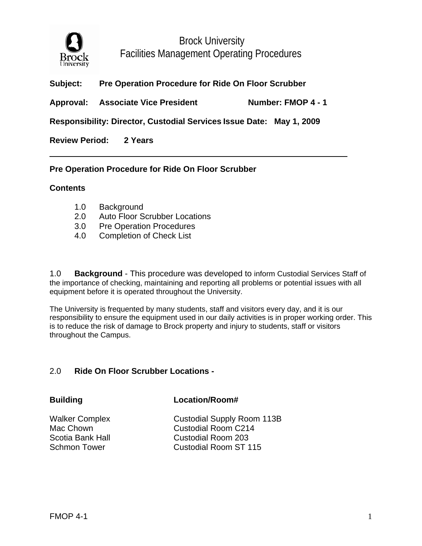

# **Subject: Pre Operation Procedure for Ride On Floor Scrubber**

Approval: Associate Vice President Number: FMOP 4 - 1

**Responsibility: Director, Custodial Services Issue Date: May 1, 2009** 

**Review Period: 2 Years** 

## **Pre Operation Procedure for Ride On Floor Scrubber**

### **Contents**

- 1.0 Background
- 2.0 Auto Floor Scrubber Locations
- 3.0 Pre Operation Procedures
- 4.0 Completion of Check List

1.0 **Background** - This procedure was developed to inform Custodial Services Staff of the importance of checking, maintaining and reporting all problems or potential issues with all equipment before it is operated throughout the University.

The University is frequented by many students, staff and visitors every day, and it is our responsibility to ensure the equipment used in our daily activities is in proper working order. This is to reduce the risk of damage to Brock property and injury to students, staff or visitors throughout the Campus.

## 2.0 **Ride On Floor Scrubber Locations -**

### **Building Location/Room#**

Walker Complex Custodial Supply Room 113B Mac Chown Custodial Room C214 Scotia Bank Hall Custodial Room 203 Schmon Tower Custodial Room ST 115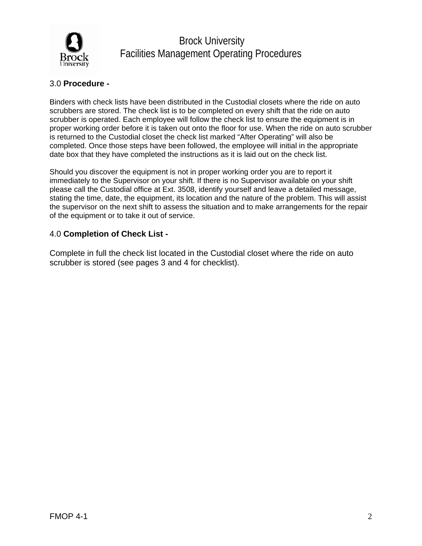

# 3.0 **Procedure -**

Binders with check lists have been distributed in the Custodial closets where the ride on auto scrubbers are stored. The check list is to be completed on every shift that the ride on auto scrubber is operated. Each employee will follow the check list to ensure the equipment is in proper working order before it is taken out onto the floor for use. When the ride on auto scrubber is returned to the Custodial closet the check list marked "After Operating" will also be completed. Once those steps have been followed, the employee will initial in the appropriate date box that they have completed the instructions as it is laid out on the check list.

Should you discover the equipment is not in proper working order you are to report it immediately to the Supervisor on your shift. If there is no Supervisor available on your shift please call the Custodial office at Ext. 3508, identify yourself and leave a detailed message, stating the time, date, the equipment, its location and the nature of the problem. This will assist the supervisor on the next shift to assess the situation and to make arrangements for the repair of the equipment or to take it out of service.

### 4.0 **Completion of Check List -**

Complete in full the check list located in the Custodial closet where the ride on auto scrubber is stored (see pages 3 and 4 for checklist).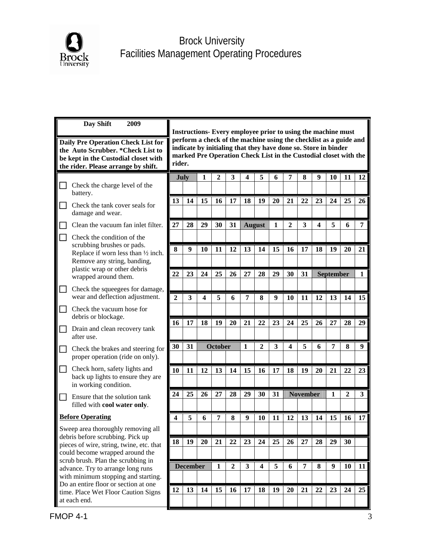

| Day Shift<br>2009                                                                                                                                       | Instructions- Every employee prior to using the machine must                                                                                                                                                      |                  |    |                  |                |              |                         |                         |                  |    |    |                  |    |              |
|---------------------------------------------------------------------------------------------------------------------------------------------------------|-------------------------------------------------------------------------------------------------------------------------------------------------------------------------------------------------------------------|------------------|----|------------------|----------------|--------------|-------------------------|-------------------------|------------------|----|----|------------------|----|--------------|
| Daily Pre Operation Check List for<br>the Auto Scrubber. * Check List to<br>be kept in the Custodial closet with<br>the rider. Please arrange by shift. | perform a check of the machine using the checklist as a guide and<br>indicate by initialing that they have done so. Store in binder<br>marked Pre Operation Check List in the Custodial closet with the<br>rider. |                  |    |                  |                |              |                         |                         |                  |    |    |                  |    |              |
| Check the charge level of the                                                                                                                           |                                                                                                                                                                                                                   | July             | 1  | $\boldsymbol{2}$ | 3              | 4            | 5                       | 6                       | 7                | 8  | 9  | 10               | 11 | 12           |
| battery.<br>Check the tank cover seals for                                                                                                              | 13                                                                                                                                                                                                                | 14               | 15 | 16               | 17             | 18           | 19                      | 20                      | 21               | 22 | 23 | 24               | 25 | 26           |
| damage and wear.                                                                                                                                        |                                                                                                                                                                                                                   |                  |    |                  |                |              |                         |                         |                  |    |    |                  |    |              |
| Clean the vacuum fan inlet filter.                                                                                                                      | 27                                                                                                                                                                                                                | 28               | 29 | 30               | 31             |              | <b>August</b>           | $\mathbf{1}$            | $\boldsymbol{2}$ | 3  | 4  | 5                | 6  | 7            |
| Check the condition of the<br>scrubbing brushes or pads.                                                                                                |                                                                                                                                                                                                                   |                  |    |                  |                |              |                         |                         |                  |    |    |                  |    |              |
| Replace if worn less than 1/2 inch.<br>Remove any string, banding,                                                                                      | 8                                                                                                                                                                                                                 | $\boldsymbol{9}$ | 10 | 11               | 12             | 13           | 14                      | 15                      | 16               | 17 | 18 | 19               | 20 | 21           |
| plastic wrap or other debris                                                                                                                            | 22                                                                                                                                                                                                                | 23               | 24 | 25               | 26             | 27           | 28                      | 29                      | 30               | 31 |    | <b>September</b> |    | $\mathbf{1}$ |
| wrapped around them.<br>Check the squeegees for damage,                                                                                                 |                                                                                                                                                                                                                   |                  |    |                  |                |              |                         |                         |                  |    |    |                  |    |              |
| wear and deflection adjustment.                                                                                                                         | $\overline{2}$                                                                                                                                                                                                    | 3                | 4  | 5                | 6              | 7            | 8                       | $\boldsymbol{9}$        | 10               | 11 | 12 | 13               | 14 | 15           |
| Check the vacuum hose for<br>debris or blockage.                                                                                                        |                                                                                                                                                                                                                   |                  |    |                  |                |              |                         |                         |                  |    |    |                  |    |              |
| Drain and clean recovery tank                                                                                                                           | 16                                                                                                                                                                                                                | 17               | 18 | 19               | 20             | 21           | 22                      | 23                      | 24               | 25 | 26 | 27               | 28 | 29           |
| after use.                                                                                                                                              |                                                                                                                                                                                                                   | <b>October</b>   |    |                  |                |              |                         | $\overline{\mathbf{4}}$ |                  |    | 7  |                  |    |              |
| Check the brakes and steering for<br>proper operation (ride on only).                                                                                   | 30                                                                                                                                                                                                                | 31               |    |                  |                | 1            | $\boldsymbol{2}$        | 3                       |                  | 5  | 6  |                  | 8  | 9            |
| Check horn, safety lights and<br>$\blacksquare$<br>back up lights to ensure they are                                                                    | 10                                                                                                                                                                                                                | 11               | 12 | 13               | 14             | 15           | 16                      | 17                      | 18               | 19 | 20 | 21               | 22 | 23           |
| in working condition.                                                                                                                                   |                                                                                                                                                                                                                   |                  |    |                  |                |              |                         |                         | <b>November</b>  |    |    |                  |    |              |
| Ensure that the solution tank<br>filled with cool water only.                                                                                           | 24                                                                                                                                                                                                                | 25               | 26 | 27               | 28             | 29           | 30                      | 31                      |                  |    |    | 1                | 2  | 3            |
| <b>Before Operating</b>                                                                                                                                 | 4                                                                                                                                                                                                                 | 5                | 6  | 7                | 8              | 9            | 10                      | 11                      | 12               | 13 | 14 | 15               | 16 | 17           |
| Sweep area thoroughly removing all<br>debris before scrubbing. Pick up                                                                                  |                                                                                                                                                                                                                   |                  |    |                  |                |              |                         |                         |                  |    |    |                  |    |              |
| pieces of wire, string, twine, etc. that                                                                                                                | 18                                                                                                                                                                                                                | 19               | 20 | 21               | 22             | 23           | 24                      | 25                      | 26               | 27 | 28 | 29               | 30 |              |
| could become wrapped around the<br>scrub brush. Plan the scrubbing in                                                                                   |                                                                                                                                                                                                                   |                  |    |                  |                |              |                         |                         |                  |    |    |                  |    |              |
| advance. Try to arrange long runs<br>with minimum stopping and starting.                                                                                |                                                                                                                                                                                                                   | <b>December</b>  |    | 1                | $\overline{2}$ | $\mathbf{3}$ | $\overline{\mathbf{4}}$ | 5                       | 6                | 7  | 8  | 9                | 10 | 11           |
| Do an entire floor or section at one<br>time. Place Wet Floor Caution Signs                                                                             | 12                                                                                                                                                                                                                | 13               | 14 | 15               | 16             | 17           | 18                      | 19                      | 20               | 21 | 22 | 23               | 24 | 25           |
| at each end.                                                                                                                                            |                                                                                                                                                                                                                   |                  |    |                  |                |              |                         |                         |                  |    |    |                  |    |              |